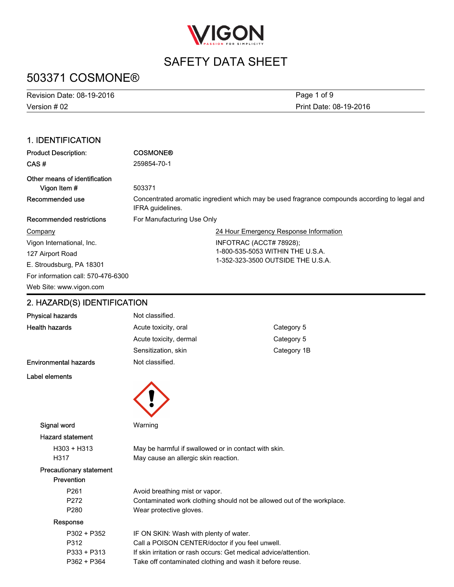

# 503371 COSMONE®

Version # 02 Revision Date: 08-19-2016 Print Date: 08-19-2016 Page 1 of 9

## 1. IDENTIFICATION

| <b>Product Description:</b>                   | <b>COSMONE®</b>                                                                                                   |  |
|-----------------------------------------------|-------------------------------------------------------------------------------------------------------------------|--|
| CAS#                                          | 259854-70-1                                                                                                       |  |
| Other means of identification<br>Vigon Item # | 503371                                                                                                            |  |
| Recommended use                               | Concentrated aromatic ingredient which may be used fragrance compounds according to legal and<br>IFRA quidelines. |  |
| Recommended restrictions                      | For Manufacturing Use Only                                                                                        |  |
| Company                                       | 24 Hour Emergency Response Information                                                                            |  |
| Vigon International, Inc.                     | INFOTRAC (ACCT# 78928);                                                                                           |  |
| 127 Airport Road                              | 1-800-535-5053 WITHIN THE U.S.A.                                                                                  |  |
| E. Stroudsburg, PA 18301                      | 1-352-323-3500 OUTSIDE THE U.S.A.                                                                                 |  |
| For information call: 570-476-6300            |                                                                                                                   |  |
| Web Site: www.vigon.com                       |                                                                                                                   |  |

## 2. HAZARD(S) IDENTIFICATION

| Physical hazards               | Not classified.                                                        |             |
|--------------------------------|------------------------------------------------------------------------|-------------|
| <b>Health hazards</b>          | Acute toxicity, oral                                                   | Category 5  |
|                                | Acute toxicity, dermal                                                 | Category 5  |
|                                | Sensitization, skin                                                    | Category 1B |
| <b>Environmental hazards</b>   | Not classified.                                                        |             |
| Label elements                 |                                                                        |             |
|                                |                                                                        |             |
|                                |                                                                        |             |
|                                |                                                                        |             |
| Signal word                    | Warning                                                                |             |
| <b>Hazard statement</b>        |                                                                        |             |
| $H303 + H313$                  | May be harmful if swallowed or in contact with skin.                   |             |
| H317                           | May cause an allergic skin reaction.                                   |             |
| <b>Precautionary statement</b> |                                                                        |             |
| Prevention                     |                                                                        |             |
| P261                           | Avoid breathing mist or vapor.                                         |             |
| P272                           | Contaminated work clothing should not be allowed out of the workplace. |             |
| P <sub>280</sub>               | Wear protective gloves.                                                |             |
| Response                       |                                                                        |             |
| P302 + P352                    | IF ON SKIN: Wash with plenty of water.                                 |             |
| P312                           | Call a POISON CENTER/doctor if you feel unwell.                        |             |
| $P333 + P313$                  | If skin irritation or rash occurs: Get medical advice/attention.       |             |
| P362 + P364                    | Take off contaminated clothing and wash it before reuse.               |             |
|                                |                                                                        |             |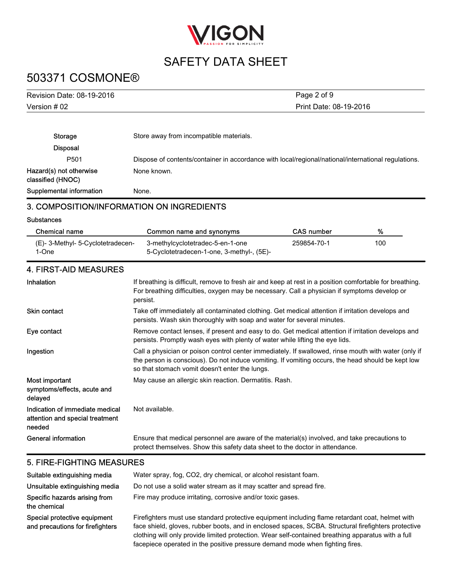

# 503371 COSMONE®

| Revision Date: 08-19-2016                    | Page 2 of 9                                                                                         |
|----------------------------------------------|-----------------------------------------------------------------------------------------------------|
| Version # 02                                 | Print Date: 08-19-2016                                                                              |
|                                              |                                                                                                     |
| Storage                                      | Store away from incompatible materials.                                                             |
| <b>Disposal</b>                              |                                                                                                     |
| P <sub>501</sub>                             | Dispose of contents/container in accordance with local/regional/national/international regulations. |
| Hazard(s) not otherwise<br>classified (HNOC) | None known.                                                                                         |
| Supplemental information                     | None.                                                                                               |

### 3. COMPOSITION/INFORMATION ON INGREDIENTS

**Substances** 

| Chemical name                            | Common name and synonyms                                                      | <b>CAS</b> number | %   |
|------------------------------------------|-------------------------------------------------------------------------------|-------------------|-----|
| (E)-3-Methyl-5-Cyclotetradecen-<br>1-One | 3-methylcyclotetradec-5-en-1-one<br>5-Cyclotetradecen-1-one, 3-methyl-, (5E)- | 259854-70-1       | 100 |

## 4. FIRST-AID MEASURES

| <b>Inhalation</b>                                                            | If breathing is difficult, remove to fresh air and keep at rest in a position comfortable for breathing.<br>For breathing difficulties, oxygen may be necessary. Call a physician if symptoms develop or<br>persist.                                        |
|------------------------------------------------------------------------------|-------------------------------------------------------------------------------------------------------------------------------------------------------------------------------------------------------------------------------------------------------------|
| <b>Skin contact</b>                                                          | Take off immediately all contaminated clothing. Get medical attention if irritation develops and<br>persists. Wash skin thoroughly with soap and water for several minutes.                                                                                 |
| Eye contact                                                                  | Remove contact lenses, if present and easy to do. Get medical attention if irritation develops and<br>persists. Promptly wash eyes with plenty of water while lifting the eye lids.                                                                         |
| Ingestion                                                                    | Call a physician or poison control center immediately. If swallowed, rinse mouth with water (only if<br>the person is conscious). Do not induce vomiting. If vomiting occurs, the head should be kept low<br>so that stomach vomit doesn't enter the lungs. |
| Most important<br>symptoms/effects, acute and<br>delayed                     | May cause an allergic skin reaction. Dermatitis. Rash.                                                                                                                                                                                                      |
| Indication of immediate medical<br>attention and special treatment<br>needed | Not available.                                                                                                                                                                                                                                              |
| General information                                                          | Ensure that medical personnel are aware of the material(s) involved, and take precautions to<br>protect themselves. Show this safety data sheet to the doctor in attendance.                                                                                |

#### 5. FIRE-FIGHTING MEASURES

| Suitable extinguishing media                                     | Water spray, fog, CO2, dry chemical, or alcohol resistant foam.                                                                                                                                                                                                                                                                                                                              |
|------------------------------------------------------------------|----------------------------------------------------------------------------------------------------------------------------------------------------------------------------------------------------------------------------------------------------------------------------------------------------------------------------------------------------------------------------------------------|
| Unsuitable extinguishing media                                   | Do not use a solid water stream as it may scatter and spread fire.                                                                                                                                                                                                                                                                                                                           |
| Specific hazards arising from<br>the chemical                    | Fire may produce irritating, corrosive and/or toxic gases.                                                                                                                                                                                                                                                                                                                                   |
| Special protective equipment<br>and precautions for firefighters | Firefighters must use standard protective equipment including flame retardant coat, helmet with<br>face shield, gloves, rubber boots, and in enclosed spaces, SCBA. Structural firefighters protective<br>clothing will only provide limited protection. Wear self-contained breathing apparatus with a full<br>facepiece operated in the positive pressure demand mode when fighting fires. |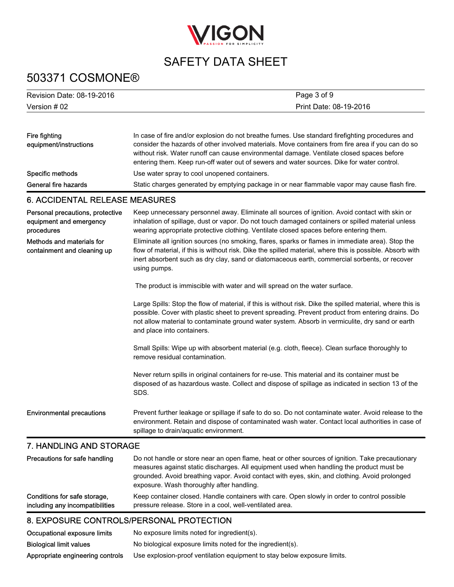

# 503371 COSMONE®

| Revision Date: 08-19-2016 | Page 3 of 9            |
|---------------------------|------------------------|
| Version # 02              | Print Date: 08-19-2016 |

| Fire fighting<br>equipment/instructions | In case of fire and/or explosion do not breathe fumes. Use standard firefighting procedures and<br>consider the hazards of other involved materials. Move containers from fire area if you can do so<br>without risk. Water runoff can cause environmental damage. Ventilate closed spaces before<br>entering them. Keep run-off water out of sewers and water sources. Dike for water control. |
|-----------------------------------------|-------------------------------------------------------------------------------------------------------------------------------------------------------------------------------------------------------------------------------------------------------------------------------------------------------------------------------------------------------------------------------------------------|
| Specific methods                        | Use water spray to cool unopened containers.                                                                                                                                                                                                                                                                                                                                                    |
| General fire hazards                    | Static charges generated by emptying package in or near flammable vapor may cause flash fire.                                                                                                                                                                                                                                                                                                   |

## 6. ACCIDENTAL RELEASE MEASURES

| Personal precautions, protective<br>equipment and emergency<br>procedures | Keep unnecessary personnel away. Eliminate all sources of ignition. Avoid contact with skin or<br>inhalation of spillage, dust or vapor. Do not touch damaged containers or spilled material unless<br>wearing appropriate protective clothing. Ventilate closed spaces before entering them.                                                    |
|---------------------------------------------------------------------------|--------------------------------------------------------------------------------------------------------------------------------------------------------------------------------------------------------------------------------------------------------------------------------------------------------------------------------------------------|
| Methods and materials for<br>containment and cleaning up                  | Eliminate all ignition sources (no smoking, flares, sparks or flames in immediate area). Stop the<br>flow of material, if this is without risk. Dike the spilled material, where this is possible. Absorb with<br>inert absorbent such as dry clay, sand or diatomaceous earth, commercial sorbents, or recover<br>using pumps.                  |
|                                                                           | The product is immiscible with water and will spread on the water surface.                                                                                                                                                                                                                                                                       |
|                                                                           | Large Spills: Stop the flow of material, if this is without risk. Dike the spilled material, where this is<br>possible. Cover with plastic sheet to prevent spreading. Prevent product from entering drains. Do<br>not allow material to contaminate ground water system. Absorb in vermiculite, dry sand or earth<br>and place into containers. |
|                                                                           | Small Spills: Wipe up with absorbent material (e.g. cloth, fleece). Clean surface thoroughly to<br>remove residual contamination.                                                                                                                                                                                                                |
|                                                                           | Never return spills in original containers for re-use. This material and its container must be<br>disposed of as hazardous waste. Collect and dispose of spillage as indicated in section 13 of the<br>SDS.                                                                                                                                      |
| <b>Environmental precautions</b>                                          | Prevent further leakage or spillage if safe to do so. Do not contaminate water. Avoid release to the<br>environment. Retain and dispose of contaminated wash water. Contact local authorities in case of<br>spillage to drain/aquatic environment.                                                                                               |

### 7. HANDLING AND STORAGE

| Precautions for safe handling   | Do not handle or store near an open flame, heat or other sources of ignition. Take precautionary<br>measures against static discharges. All equipment used when handling the product must be<br>grounded. Avoid breathing vapor. Avoid contact with eyes, skin, and clothing. Avoid prolonged<br>exposure. Wash thoroughly after handling. |
|---------------------------------|--------------------------------------------------------------------------------------------------------------------------------------------------------------------------------------------------------------------------------------------------------------------------------------------------------------------------------------------|
| Conditions for safe storage,    | Keep container closed. Handle containers with care. Open slowly in order to control possible                                                                                                                                                                                                                                               |
| including any incompatibilities | pressure release. Store in a cool, well-ventilated area.                                                                                                                                                                                                                                                                                   |

## 8. EXPOSURE CONTROLS/PERSONAL PROTECTION

| Occupational exposure limits     | No exposure limits noted for ingredient(s).                              |
|----------------------------------|--------------------------------------------------------------------------|
| <b>Biological limit values</b>   | No biological exposure limits noted for the ingredient(s).               |
| Appropriate engineering controls | Use explosion-proof ventilation equipment to stay below exposure limits. |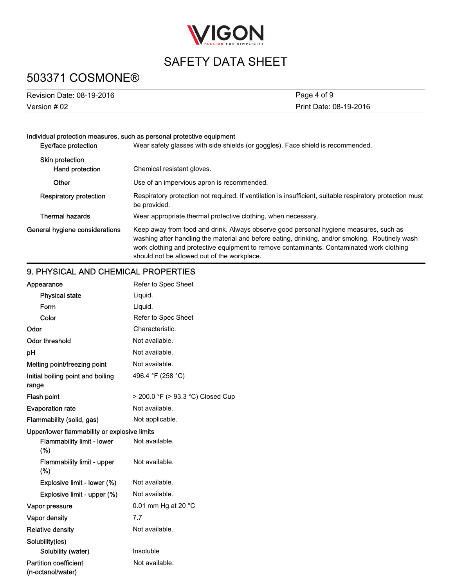

# 503371 COSMONE®

| Revision Date: 08-19-2016 | Page 4 of 9            |
|---------------------------|------------------------|
| Version # 02              | Print Date: 08-19-2016 |

#### Individual protection measures, such as personal protective equipment

| Eye/face protection                       | Wear safety glasses with side shields (or goggles). Face shield is recommended.                                                                                                                                                                                                                                                      |  |
|-------------------------------------------|--------------------------------------------------------------------------------------------------------------------------------------------------------------------------------------------------------------------------------------------------------------------------------------------------------------------------------------|--|
| <b>Skin protection</b><br>Hand protection | Chemical resistant gloves.                                                                                                                                                                                                                                                                                                           |  |
| Other                                     | Use of an impervious apron is recommended.                                                                                                                                                                                                                                                                                           |  |
| <b>Respiratory protection</b>             | Respiratory protection not required. If ventilation is insufficient, suitable respiratory protection must<br>be provided.                                                                                                                                                                                                            |  |
| <b>Thermal hazards</b>                    | Wear appropriate thermal protective clothing, when necessary.                                                                                                                                                                                                                                                                        |  |
| General hygiene considerations            | Keep away from food and drink. Always observe good personal hygiene measures, such as<br>washing after handling the material and before eating, drinking, and/or smoking. Routinely wash<br>work clothing and protective equipment to remove contaminants. Contaminated work clothing<br>should not be allowed out of the workplace. |  |

## 9. PHYSICAL AND CHEMICAL PROPERTIES

| Appearance                                        | Refer to Spec Sheet               |  |
|---------------------------------------------------|-----------------------------------|--|
| <b>Physical state</b>                             | Liquid.                           |  |
| Form                                              | Liquid.                           |  |
| Color                                             | Refer to Spec Sheet               |  |
| Odor                                              | Characteristic.                   |  |
| <b>Odor threshold</b>                             | Not available.                    |  |
| рH                                                | Not available.                    |  |
| Melting point/freezing point                      | Not available.                    |  |
| Initial boiling point and boiling<br>range        | 496.4 °F (258 °C)                 |  |
| Flash point                                       | > 200.0 °F (> 93.3 °C) Closed Cup |  |
| <b>Evaporation rate</b>                           | Not available.                    |  |
| Flammability (solid, gas)                         | Not applicable.                   |  |
| Upper/lower flammability or explosive limits      |                                   |  |
| Flammability limit - lower<br>(%)                 | Not available.                    |  |
| Flammability limit - upper<br>(%)                 | Not available.                    |  |
| Explosive limit - lower (%)                       | Not available.                    |  |
| Explosive limit - upper (%)                       | Not available.                    |  |
| Vapor pressure                                    | 0.01 mm Hg at 20 °C               |  |
| <b>Vapor density</b>                              | 7.7                               |  |
| <b>Relative density</b>                           | Not available.                    |  |
| Solubility(ies)                                   |                                   |  |
| Solubility (water)                                | Insoluble                         |  |
| <b>Partition coefficient</b><br>(n-octanol/water) | Not available.                    |  |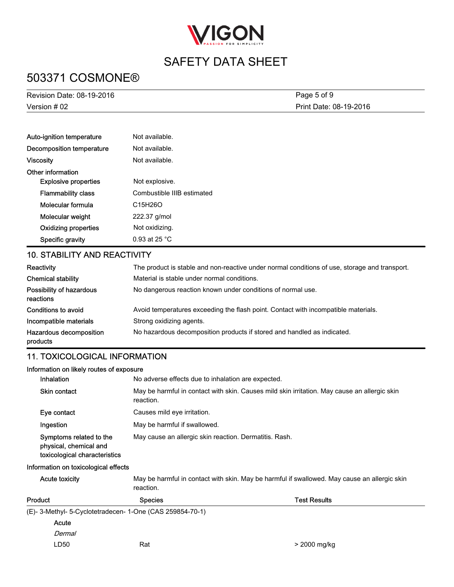

# 503371 COSMONE®

| <b>Revision Date: 08-19-2016</b>                 | Page 5 of 9                                                                                   |  |
|--------------------------------------------------|-----------------------------------------------------------------------------------------------|--|
| Version # 02<br>Print Date: 08-19-2016           |                                                                                               |  |
| Auto-ignition temperature                        | Not available.                                                                                |  |
| <b>Decomposition temperature</b>                 | Not available.                                                                                |  |
| <b>Viscosity</b>                                 | Not available.                                                                                |  |
| Other information<br><b>Explosive properties</b> | Not explosive.                                                                                |  |
| <b>Flammability class</b>                        | Combustible IIIB estimated                                                                    |  |
| Molecular formula                                | C15H26O                                                                                       |  |
| Molecular weight                                 | 222.37 g/mol                                                                                  |  |
| <b>Oxidizing properties</b>                      | Not oxidizing.                                                                                |  |
| Specific gravity                                 | 0.93 at 25 °C                                                                                 |  |
| <b>10. STABILITY AND REACTIVITY</b>              |                                                                                               |  |
| Reactivity                                       | The product is stable and non-reactive under normal conditions of use, storage and transport. |  |
| <b>Chemical stability</b>                        | Material is stable under normal conditions.                                                   |  |
| Possibility of hazardous<br>reactions            | No dangerous reaction known under conditions of normal use.                                   |  |
| Conditions to avoid                              | Avoid temperatures exceeding the flash point. Contact with incompatible materials.            |  |
| Incompatible materials                           | Strong oxidizing agents.                                                                      |  |
| Hazardous decomposition<br>products              | No hazardous decomposition products if stored and handled as indicated.                       |  |
| <b>11. TOXICOLOGICAL INFORMATION</b>             |                                                                                               |  |

#### Information on likely routes of exposure

| <b>Inhalation</b>                                                                  | No adverse effects due to inhalation are expected.                                                        |  |
|------------------------------------------------------------------------------------|-----------------------------------------------------------------------------------------------------------|--|
| <b>Skin contact</b>                                                                | May be harmful in contact with skin. Causes mild skin irritation. May cause an allergic skin<br>reaction. |  |
| Eye contact                                                                        | Causes mild eye irritation.                                                                               |  |
| Ingestion                                                                          | May be harmful if swallowed.                                                                              |  |
| Symptoms related to the<br>physical, chemical and<br>toxicological characteristics | May cause an allergic skin reaction. Dermatitis. Rash.                                                    |  |

#### Information on toxicological effects

| <b>Acute toxicity</b> | reaction.                                                 | May be harmful in contact with skin. May be harmful if swallowed. May cause an allergic skin |  |
|-----------------------|-----------------------------------------------------------|----------------------------------------------------------------------------------------------|--|
| Product               | <b>Species</b>                                            | <b>Test Results</b>                                                                          |  |
|                       | (E)- 3-Methyl- 5-Cyclotetradecen- 1-One (CAS 259854-70-1) |                                                                                              |  |
| Acute                 |                                                           |                                                                                              |  |
| Dermal                |                                                           |                                                                                              |  |
| LD50                  | Rat                                                       | > 2000 mg/kg                                                                                 |  |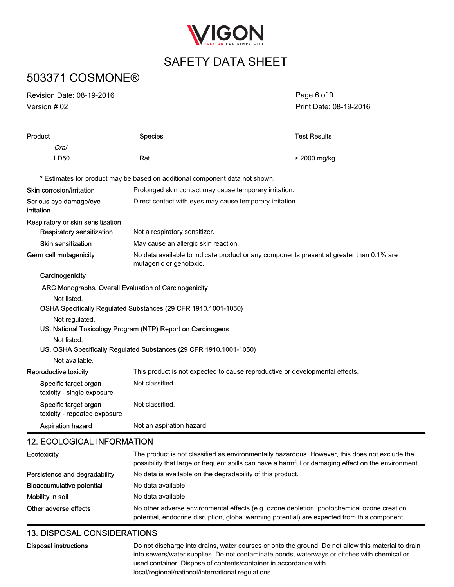

# 503371 COSMONE®

| Revision Date: 08-19-2016 | Page 6 of 9            |
|---------------------------|------------------------|
| Version $#02$             | Print Date: 08-19-2016 |

| Product                                                | <b>Species</b>                                                                                                      | <b>Test Results</b> |
|--------------------------------------------------------|---------------------------------------------------------------------------------------------------------------------|---------------------|
| Oral                                                   |                                                                                                                     |                     |
| LD50                                                   | Rat                                                                                                                 | > 2000 mg/kg        |
|                                                        | * Estimates for product may be based on additional component data not shown.                                        |                     |
| Skin corrosion/irritation                              | Prolonged skin contact may cause temporary irritation.                                                              |                     |
| Serious eye damage/eye<br>irritation                   | Direct contact with eyes may cause temporary irritation.                                                            |                     |
| Respiratory or skin sensitization                      |                                                                                                                     |                     |
| Respiratory sensitization                              | Not a respiratory sensitizer.                                                                                       |                     |
| <b>Skin sensitization</b>                              | May cause an allergic skin reaction.                                                                                |                     |
| Germ cell mutagenicity                                 | No data available to indicate product or any components present at greater than 0.1% are<br>mutagenic or genotoxic. |                     |
| Carcinogenicity                                        |                                                                                                                     |                     |
| IARC Monographs. Overall Evaluation of Carcinogenicity |                                                                                                                     |                     |
| Not listed.                                            |                                                                                                                     |                     |
|                                                        | OSHA Specifically Regulated Substances (29 CFR 1910.1001-1050)                                                      |                     |
| Not regulated.                                         |                                                                                                                     |                     |
|                                                        | US. National Toxicology Program (NTP) Report on Carcinogens                                                         |                     |
| Not listed.                                            |                                                                                                                     |                     |
|                                                        | US. OSHA Specifically Regulated Substances (29 CFR 1910.1001-1050)                                                  |                     |
| Not available.                                         |                                                                                                                     |                     |
| Reproductive toxicity                                  | This product is not expected to cause reproductive or developmental effects.                                        |                     |
| Specific target organ<br>toxicity - single exposure    | Not classified.                                                                                                     |                     |
| Specific target organ<br>toxicity - repeated exposure  | Not classified.                                                                                                     |                     |
| <b>Aspiration hazard</b>                               | Not an aspiration hazard.                                                                                           |                     |

## 12. ECOLOGICAL INFORMATION

| Ecotoxicity                   | The product is not classified as environmentally hazardous. However, this does not exclude the<br>possibility that large or frequent spills can have a harmful or damaging effect on the environment. |
|-------------------------------|-------------------------------------------------------------------------------------------------------------------------------------------------------------------------------------------------------|
| Persistence and degradability | No data is available on the degradability of this product.                                                                                                                                            |
| Bioaccumulative potential     | No data available.                                                                                                                                                                                    |
| Mobility in soil              | No data available.                                                                                                                                                                                    |
| Other adverse effects         | No other adverse environmental effects (e.g. ozone depletion, photochemical ozone creation<br>potential, endocrine disruption, global warming potential) are expected from this component.            |

## 13. DISPOSAL CONSIDERATIONS

| Disposal instructions | Do not discharge into drains, water courses or onto the ground. Do not allow this material to drain<br>into sewers/water supplies. Do not contaminate ponds, waterways or ditches with chemical or |
|-----------------------|----------------------------------------------------------------------------------------------------------------------------------------------------------------------------------------------------|
|                       | used container. Dispose of contents/container in accordance with<br>local/regional/national/international regulations.                                                                             |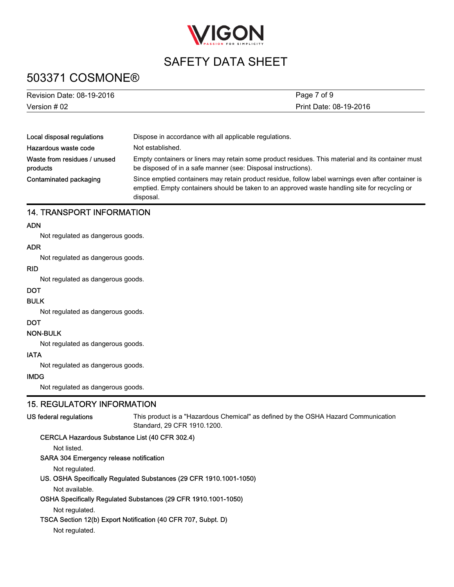

# 503371 COSMONE®

| Revision Date: 08-19-2016                | Page 7 of 9                                                                                                                                                                                                      |  |
|------------------------------------------|------------------------------------------------------------------------------------------------------------------------------------------------------------------------------------------------------------------|--|
| Version $#02$                            | Print Date: 08-19-2016                                                                                                                                                                                           |  |
|                                          |                                                                                                                                                                                                                  |  |
| Local disposal regulations               | Dispose in accordance with all applicable regulations.                                                                                                                                                           |  |
| Hazardous waste code                     | Not established.                                                                                                                                                                                                 |  |
| Waste from residues / unused<br>products | Empty containers or liners may retain some product residues. This material and its container must<br>be disposed of in a safe manner (see: Disposal instructions).                                               |  |
| Contaminated packaging                   | Since emptied containers may retain product residue, follow label warnings even after container is<br>emptied. Empty containers should be taken to an approved waste handling site for recycling or<br>disposal. |  |

#### 14. TRANSPORT INFORMATION

#### ADN

Not regulated as dangerous goods.

#### ADR

Not regulated as dangerous goods.

#### RID

Not regulated as dangerous goods.

### **DOT**

#### BULK

Not regulated as dangerous goods.

#### DOT

#### NON-BULK

Not regulated as dangerous goods.

#### IATA

Not regulated as dangerous goods.

#### IMDG

Not regulated as dangerous goods.

### 15. REGULATORY INFORMATION

#### US federal regulations

This product is a "Hazardous Chemical" as defined by the OSHA Hazard Communication Standard, 29 CFR 1910.1200.

#### CERCLA Hazardous Substance List (40 CFR 302.4)

Not listed.

#### SARA 304 Emergency release notification

Not regulated.

#### US. OSHA Specifically Regulated Substances (29 CFR 1910.1001-1050)

Not available.

#### OSHA Specifically Regulated Substances (29 CFR 1910.1001-1050)

Not regulated.

#### TSCA Section 12(b) Export Notification (40 CFR 707, Subpt. D)

Not regulated.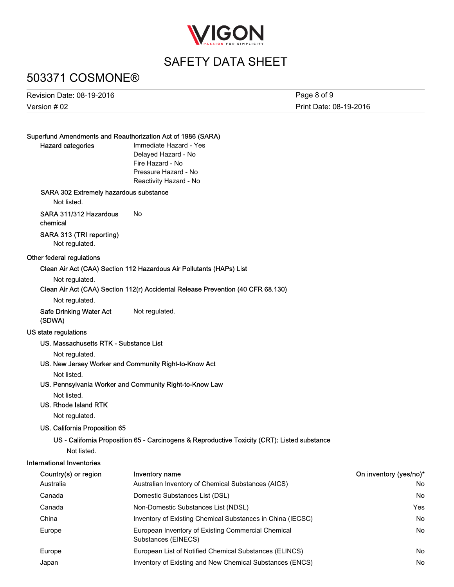

## 503371 COSMONE®

Version # 02 Revision Date: 08-19-2016 Print Date: 08-19-2016 Page 8 of 9

#### Superfund Amendments and Reauthorization Act of 1986 (SARA)

#### Hazard categories

Immediate Hazard - Yes Delayed Hazard - No Fire Hazard - No Pressure Hazard - No Reactivity Hazard - No

#### SARA 302 Extremely hazardous substance

Not listed.

#### SARA 311/312 Hazardous No

chemical

### SARA 313 (TRI reporting)

Not regulated.

#### Other federal regulations

#### Clean Air Act (CAA) Section 112 Hazardous Air Pollutants (HAPs) List

Not regulated.

#### Clean Air Act (CAA) Section 112(r) Accidental Release Prevention (40 CFR 68.130)

Not regulated.

#### Safe Drinking Water Act Not regulated. (SDWA)

#### US state regulations

#### US. Massachusetts RTK - Substance List

Not regulated.

#### US. New Jersey Worker and Community Right-to-Know Act

Not listed.

#### US. Pennsylvania Worker and Community Right-to-Know Law

Not listed.

#### US. Rhode Island RTK

Not regulated.

#### US. California Proposition 65

#### US - California Proposition 65 - Carcinogens & Reproductive Toxicity (CRT): Listed substance

Not listed.

## International Inventories

| Country(s) or region | Inventory name                                                            | On inventory (yes/no)* |
|----------------------|---------------------------------------------------------------------------|------------------------|
| Australia            | Australian Inventory of Chemical Substances (AICS)                        | No                     |
| Canada               | Domestic Substances List (DSL)                                            | No                     |
| Canada               | Non-Domestic Substances List (NDSL)                                       | Yes                    |
| China                | Inventory of Existing Chemical Substances in China (IECSC)                | No                     |
| Europe               | European Inventory of Existing Commercial Chemical<br>Substances (EINECS) | No                     |
| Europe               | European List of Notified Chemical Substances (ELINCS)                    | No                     |
| Japan                | Inventory of Existing and New Chemical Substances (ENCS)                  | No                     |
|                      |                                                                           |                        |